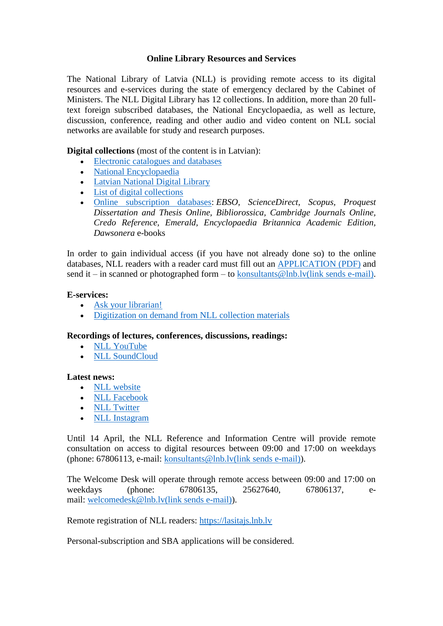# **Online Library Resources and Services**

The National Library of Latvia (NLL) is providing remote access to its digital resources and e-services during the state of emergency declared by the Cabinet of Ministers. The NLL Digital Library has 12 collections. In addition, more than 20 fulltext foreign subscribed databases, the National Encyclopaedia, as well as lecture, discussion, conference, reading and other audio and video content on NLL social networks are available for study and research purposes.

**Digital collections** (most of the content is in Latvian):

- [Electronic catalogues and databases](https://lnb.lv/en/catalogues-and-databases/catalogues-and-databases)
- [National Encyclopaedia](https://enciklopedija.lv/)
- [Latvian National Digital Library](https://www.lndb.lv/)
- [List of digital collections](https://lnb.lv/en/resources/digital-library)
- [Online subscription databases:](https://lnb.lv/en/catalogues-and-databases/online-subscription-databases) *EBSO, ScienceDirect, Scopus, Proquest Dissertation and Thesis Online, Bibliorossica, Cambridge Journals Online, Credo Reference, Emerald, Encyclopaedia Britannica Academic Edition, Dawsonera* e-books

In order to gain individual access (if you have not already done so) to the online databases, NLL readers with a reader card must fill out an [APPLICATION \(PDF\)](https://www.lnb.lv/sites/default/files/media/resources/application-for-individual-access.pdf) and send it – in scanned or photographed form – to [konsultants@lnb.lv\(link sends e-mail\).](mailto:konsultants@lnb.lv)

### **E-services:**

- [Ask your librarian!](https://lnb.lv/en/ask-librarian)
- Digitization on [demand from NLL collection materials](https://lnb.lv/en/copying-binding-digitization/digitization-demand)

## **Recordings of lectures, conferences, discussions, readings:**

- [NLL YouTube](https://www.youtube.com/channel/UCorC9b7jIZFJDx8j9QA04JA)
- [NLL SoundCloud](https://soundcloud.com/latvijas-nacionala-biblioteka)

## **Latest news:**

- [NLL website](https://www.lnb.lv/en)
- [NLL Facebook](https://www.facebook.com/lnb.lv/)
- [NLL Twitter](https://twitter.com/LNB_lv)
- [NLL Instagram](https://www.instagram.com/lnblv/)

Until 14 April, the NLL Reference and Information Centre will provide remote consultation on access to digital resources between 09:00 and 17:00 on weekdays (phone: 67806113, e-mail: [konsultants@lnb.lv\(link sends e-mail\)\)](mailto:konsultants@lnb.lv).

The Welcome Desk will operate through remote access between 09:00 and 17:00 on weekdays (phone: 67806135, 25627640, 67806137, email: [welcomedesk@lnb.lv\(link sends e-mail\)\)](mailto:welcomedesk@lnb.lv).

Remote registration of NLL readers: [https://lasitajs.lnb.lv](https://lasitajs.lnb.lv/)

Personal-subscription and SBA applications will be considered.